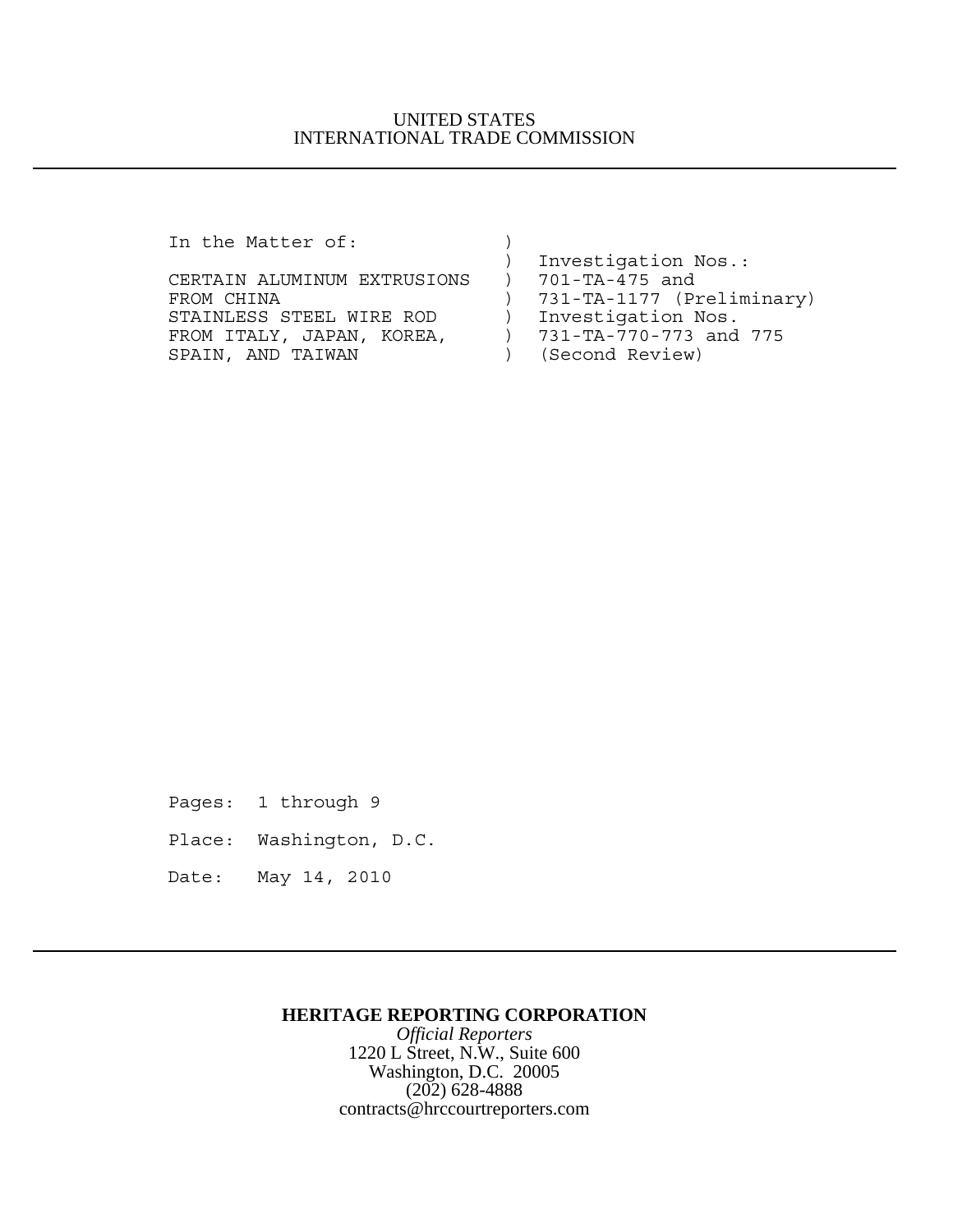## UNITED STATES INTERNATIONAL TRADE COMMISSION

In the Matter of:  $)$ 

| In the Matter of:           |                           |
|-----------------------------|---------------------------|
|                             | Investigation Nos.:       |
| CERTAIN ALUMINUM EXTRUSIONS | 701-TA-475 and            |
| FROM CHINA                  | 731-TA-1177 (Preliminary) |
| STAINLESS STEEL WIRE ROD    | Investigation Nos.        |
| FROM ITALY, JAPAN, KOREA,   | 731-TA-770-773 and 775    |
| SPAIN, AND TAIWAN           | (Second Review)           |
|                             |                           |

Pages: 1 through 9

Place: Washington, D.C.

Date: May 14, 2010

## **HERITAGE REPORTING CORPORATION**

*Official Reporters* 1220 L Street, N.W., Suite 600 Washington, D.C. 20005 (202) 628-4888 contracts@hrccourtreporters.com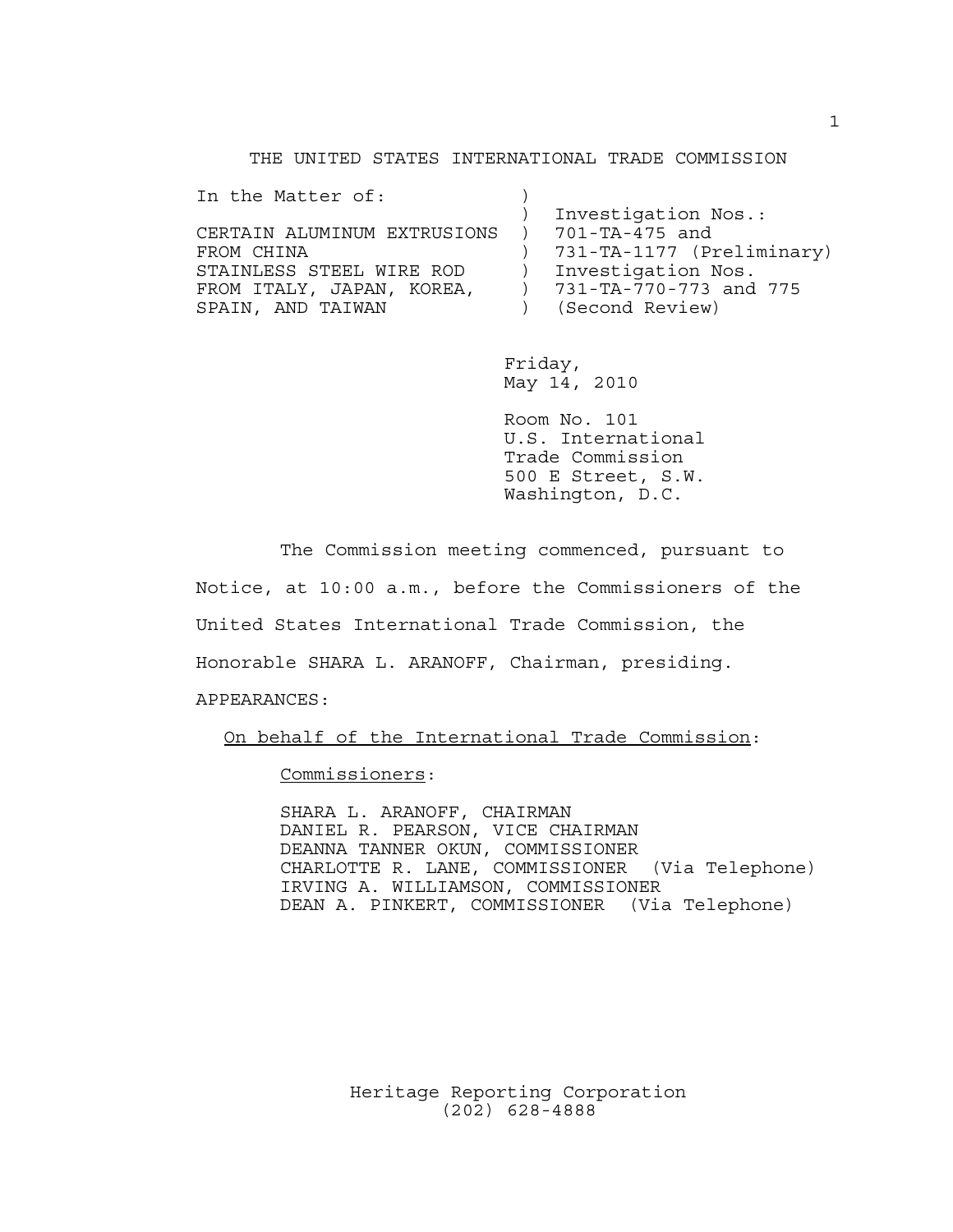THE UNITED STATES INTERNATIONAL TRADE COMMISSION

| In the Matter of:                            |                           |
|----------------------------------------------|---------------------------|
|                                              | Investigation Nos.:       |
| CERTAIN ALUMINUM EXTRUSIONS ) 701-TA-475 and |                           |
| FROM CHINA                                   | 731-TA-1177 (Preliminary) |
| STAINLESS STEEL WIRE ROD                     | Investigation Nos.        |
| FROM ITALY, JAPAN, KOREA,                    | 731-TA-770-773 and 775    |
| SPAIN, AND TAIWAN                            | (Second Review)           |
|                                              |                           |

Friday, May 14, 2010

Room No. 101 U.S. International Trade Commission 500 E Street, S.W. Washington, D.C.

The Commission meeting commenced, pursuant to Notice, at 10:00 a.m., before the Commissioners of the United States International Trade Commission, the Honorable SHARA L. ARANOFF, Chairman, presiding. APPEARANCES:

On behalf of the International Trade Commission:

Commissioners:

SHARA L. ARANOFF, CHAIRMAN DANIEL R. PEARSON, VICE CHAIRMAN DEANNA TANNER OKUN, COMMISSIONER CHARLOTTE R. LANE, COMMISSIONER (Via Telephone) IRVING A. WILLIAMSON, COMMISSIONER DEAN A. PINKERT, COMMISSIONER (Via Telephone)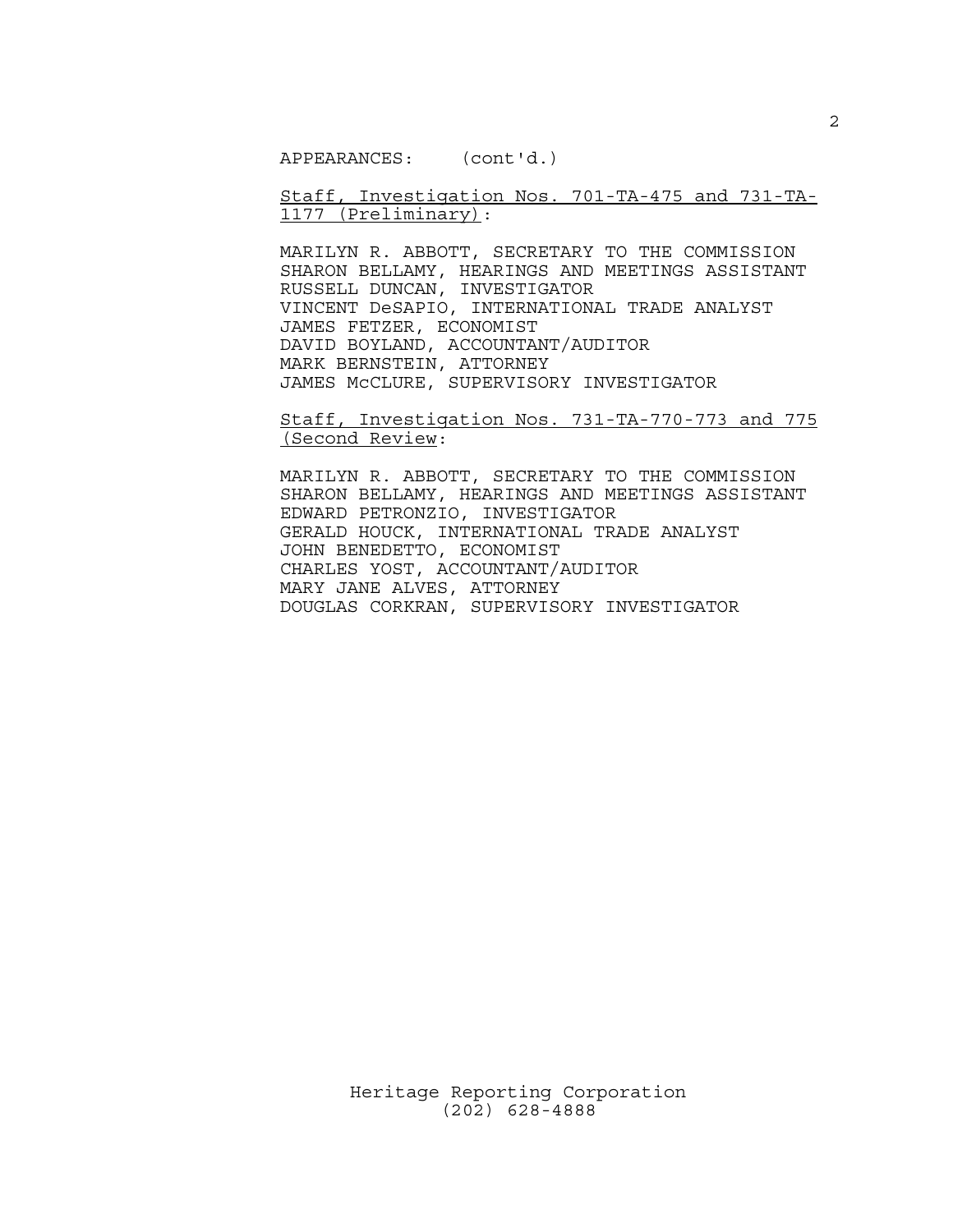APPEARANCES: (cont'd.)

Staff, Investigation Nos. 701-TA-475 and 731-TA-1177 (Preliminary):

MARILYN R. ABBOTT, SECRETARY TO THE COMMISSION SHARON BELLAMY, HEARINGS AND MEETINGS ASSISTANT RUSSELL DUNCAN, INVESTIGATOR VINCENT DeSAPIO, INTERNATIONAL TRADE ANALYST JAMES FETZER, ECONOMIST DAVID BOYLAND, ACCOUNTANT/AUDITOR MARK BERNSTEIN, ATTORNEY JAMES McCLURE, SUPERVISORY INVESTIGATOR

Staff, Investigation Nos. 731-TA-770-773 and 775 (Second Review:

MARILYN R. ABBOTT, SECRETARY TO THE COMMISSION SHARON BELLAMY, HEARINGS AND MEETINGS ASSISTANT EDWARD PETRONZIO, INVESTIGATOR GERALD HOUCK, INTERNATIONAL TRADE ANALYST JOHN BENEDETTO, ECONOMIST CHARLES YOST, ACCOUNTANT/AUDITOR MARY JANE ALVES, ATTORNEY DOUGLAS CORKRAN, SUPERVISORY INVESTIGATOR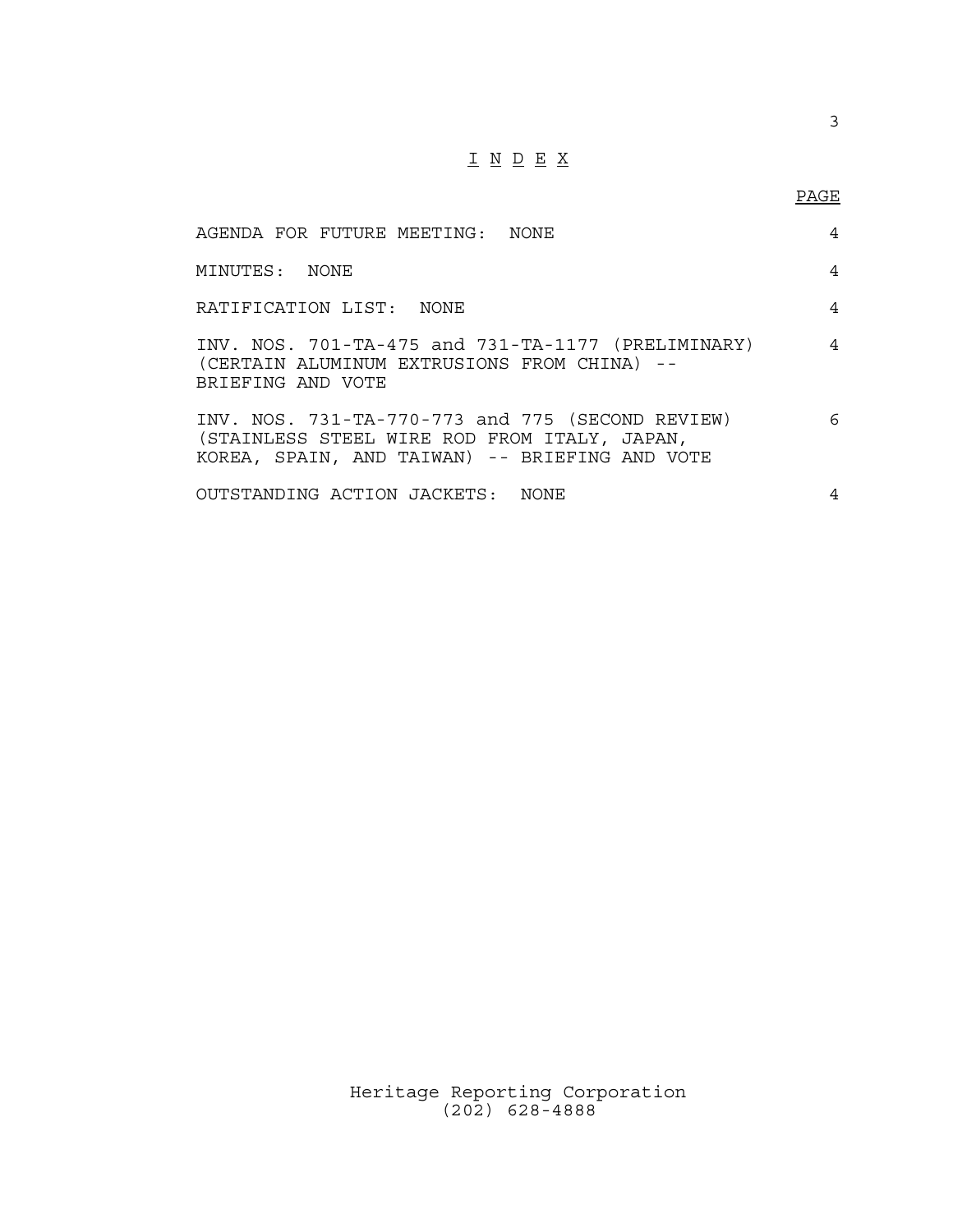## I N D E X

3

| AGENDA FOR FUTURE MEETING: NONE                                                                                                                    | 4              |
|----------------------------------------------------------------------------------------------------------------------------------------------------|----------------|
| MINUTES: NONE                                                                                                                                      | 4              |
| RATIFICATION LIST: NONE                                                                                                                            | 4              |
| INV. NOS. $701-TA-475$ and $731-TA-1177$ (PRELIMINARY)<br>(CERTAIN ALUMINUM EXTRUSIONS FROM CHINA) --<br>BRIEFING AND VOTE                         | $\overline{4}$ |
| INV. NOS. 731-TA-770-773 and 775 (SECOND REVIEW)<br>(STAINLESS STEEL WIRE ROD FROM ITALY, JAPAN,<br>KOREA, SPAIN, AND TAIWAN) -- BRIEFING AND VOTE | 6              |
| OUTSTANDING ACTION JACKETS: NONE                                                                                                                   | 4              |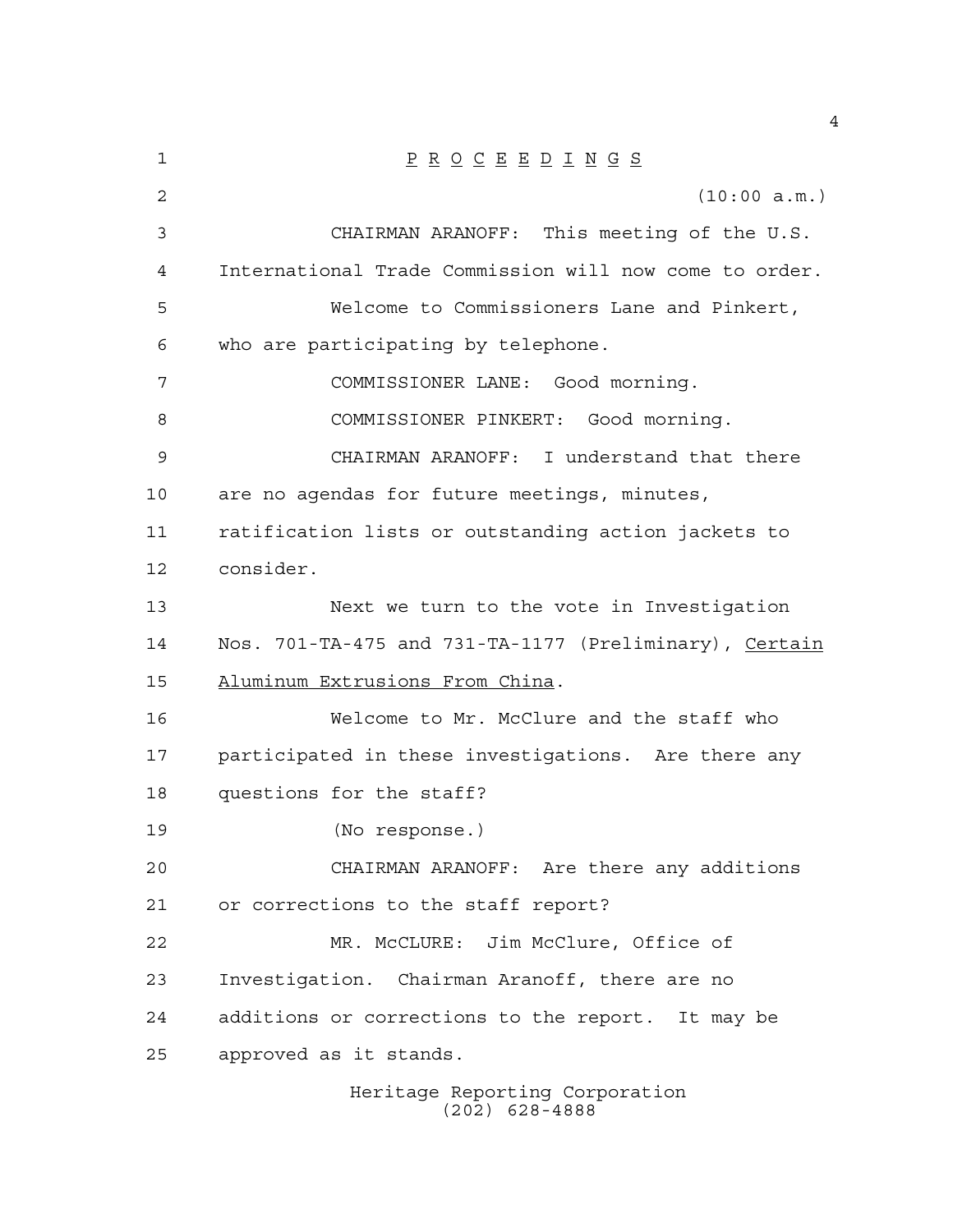| 1  | $\underline{P} \underline{R} \underline{O} \underline{C} \underline{E} \underline{E} \underline{D} \underline{I} \underline{N} \underline{G} \underline{S}$ |
|----|-------------------------------------------------------------------------------------------------------------------------------------------------------------|
| 2  | (10:00 a.m.)                                                                                                                                                |
| 3  | CHAIRMAN ARANOFF: This meeting of the U.S.                                                                                                                  |
| 4  | International Trade Commission will now come to order.                                                                                                      |
| 5  | Welcome to Commissioners Lane and Pinkert,                                                                                                                  |
| 6  | who are participating by telephone.                                                                                                                         |
| 7  | COMMISSIONER LANE: Good morning.                                                                                                                            |
| 8  | COMMISSIONER PINKERT: Good morning.                                                                                                                         |
| 9  | CHAIRMAN ARANOFF: I understand that there                                                                                                                   |
| 10 | are no agendas for future meetings, minutes,                                                                                                                |
| 11 | ratification lists or outstanding action jackets to                                                                                                         |
| 12 | consider.                                                                                                                                                   |
| 13 | Next we turn to the vote in Investigation                                                                                                                   |
| 14 | Nos. 701-TA-475 and 731-TA-1177 (Preliminary), Certain                                                                                                      |
| 15 | Aluminum Extrusions From China.                                                                                                                             |
| 16 | Welcome to Mr. McClure and the staff who                                                                                                                    |
| 17 | participated in these investigations. Are there any                                                                                                         |
| 18 | questions for the staff?                                                                                                                                    |
| 19 | (No response.)                                                                                                                                              |
| 20 | CHAIRMAN ARANOFF: Are there any additions                                                                                                                   |
| 21 | or corrections to the staff report?                                                                                                                         |
| 22 | MR. McCLURE: Jim McClure, Office of                                                                                                                         |
| 23 | Investigation. Chairman Aranoff, there are no                                                                                                               |
| 24 | additions or corrections to the report. It may be                                                                                                           |
| 25 | approved as it stands.                                                                                                                                      |
|    | Heritage Reporting Corporation                                                                                                                              |

(202) 628-4888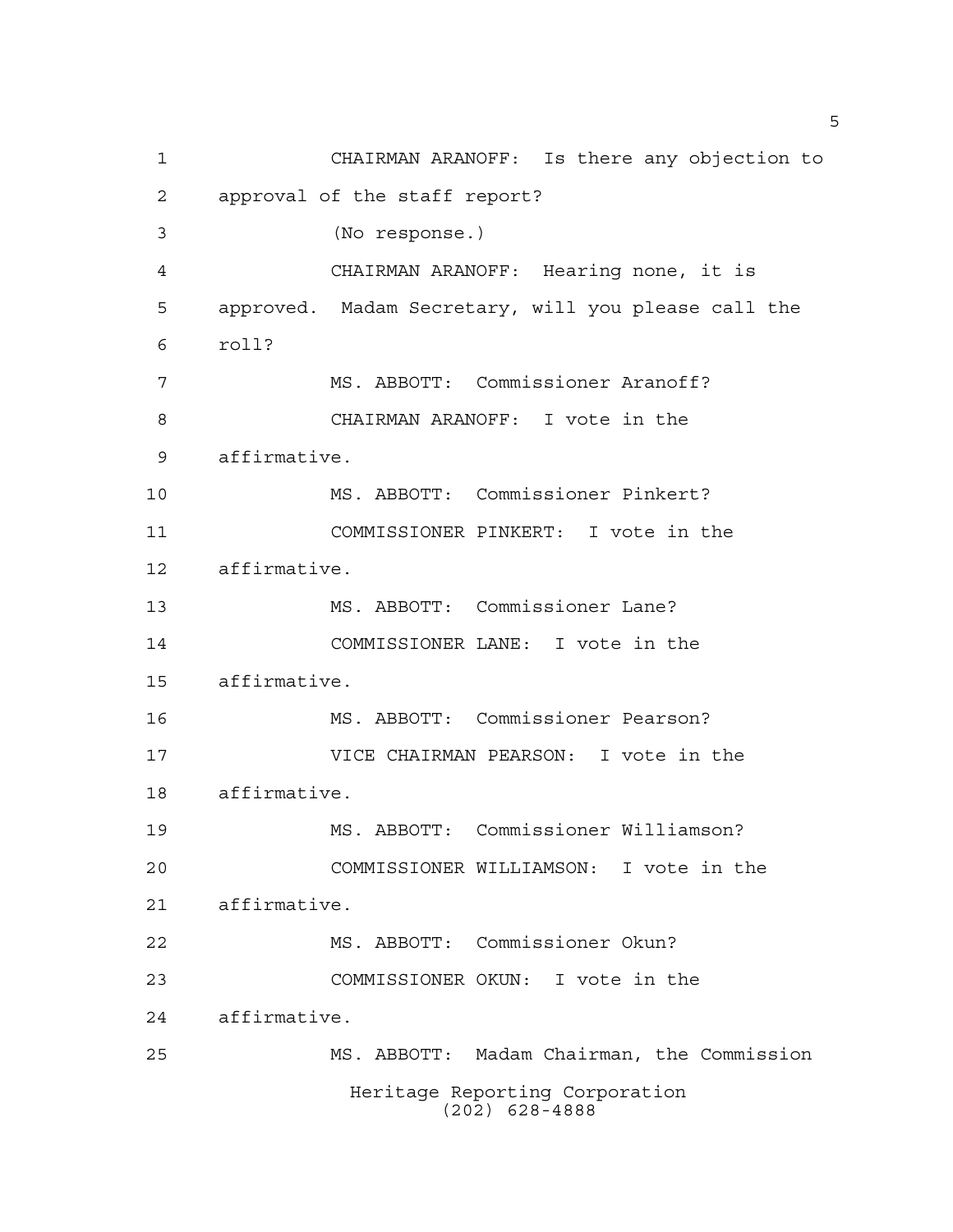CHAIRMAN ARANOFF: Is there any objection to approval of the staff report? (No response.) CHAIRMAN ARANOFF: Hearing none, it is approved. Madam Secretary, will you please call the roll? MS. ABBOTT: Commissioner Aranoff? CHAIRMAN ARANOFF: I vote in the affirmative. MS. ABBOTT: Commissioner Pinkert? COMMISSIONER PINKERT: I vote in the affirmative. MS. ABBOTT: Commissioner Lane? COMMISSIONER LANE: I vote in the affirmative. MS. ABBOTT: Commissioner Pearson? VICE CHAIRMAN PEARSON: I vote in the affirmative. MS. ABBOTT: Commissioner Williamson? COMMISSIONER WILLIAMSON: I vote in the affirmative. MS. ABBOTT: Commissioner Okun? COMMISSIONER OKUN: I vote in the affirmative. MS. ABBOTT: Madam Chairman, the Commission Heritage Reporting Corporation (202) 628-4888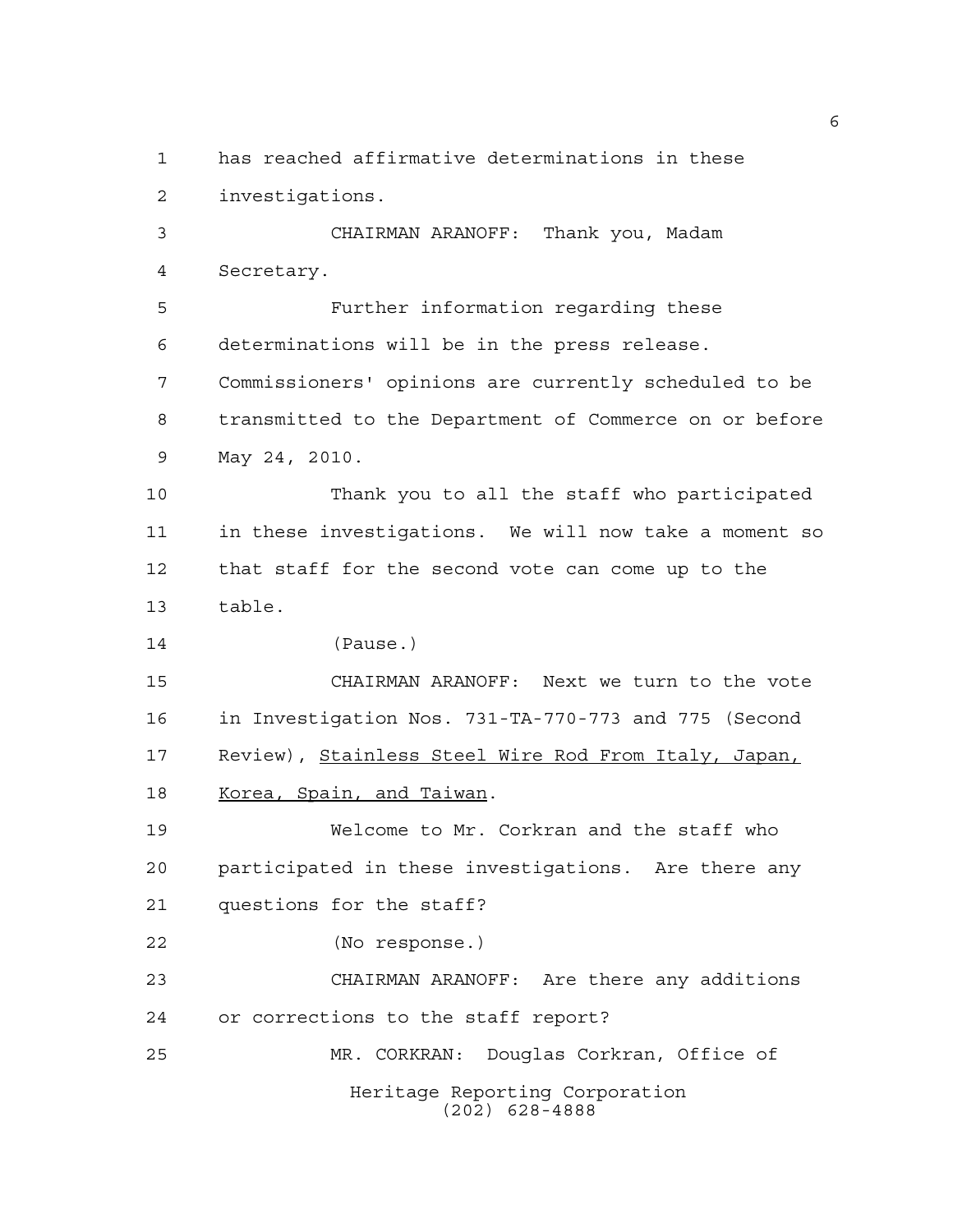has reached affirmative determinations in these investigations.

 CHAIRMAN ARANOFF: Thank you, Madam Secretary.

 Further information regarding these determinations will be in the press release. Commissioners' opinions are currently scheduled to be transmitted to the Department of Commerce on or before May 24, 2010.

 Thank you to all the staff who participated in these investigations. We will now take a moment so that staff for the second vote can come up to the table.

(Pause.)

 CHAIRMAN ARANOFF: Next we turn to the vote in Investigation Nos. 731-TA-770-773 and 775 (Second Review), Stainless Steel Wire Rod From Italy, Japan, 18 Korea, Spain, and Taiwan.

 Welcome to Mr. Corkran and the staff who participated in these investigations. Are there any questions for the staff?

(No response.)

 CHAIRMAN ARANOFF: Are there any additions or corrections to the staff report? MR. CORKRAN: Douglas Corkran, Office of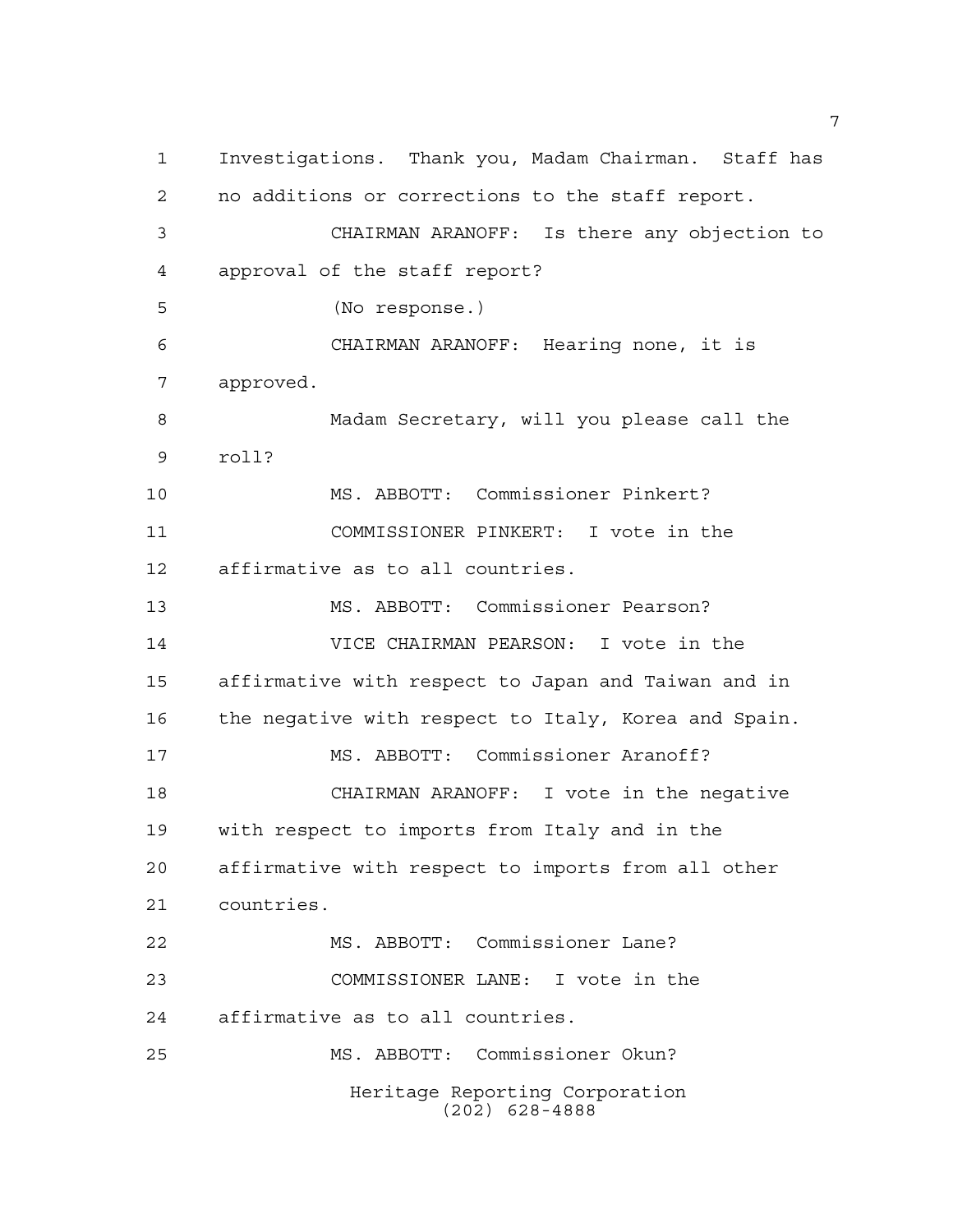Investigations. Thank you, Madam Chairman. Staff has no additions or corrections to the staff report. CHAIRMAN ARANOFF: Is there any objection to approval of the staff report? (No response.) CHAIRMAN ARANOFF: Hearing none, it is approved. Madam Secretary, will you please call the roll? MS. ABBOTT: Commissioner Pinkert? COMMISSIONER PINKERT: I vote in the affirmative as to all countries. MS. ABBOTT: Commissioner Pearson? VICE CHAIRMAN PEARSON: I vote in the affirmative with respect to Japan and Taiwan and in the negative with respect to Italy, Korea and Spain. MS. ABBOTT: Commissioner Aranoff? CHAIRMAN ARANOFF: I vote in the negative with respect to imports from Italy and in the affirmative with respect to imports from all other countries. MS. ABBOTT: Commissioner Lane? COMMISSIONER LANE: I vote in the affirmative as to all countries. MS. ABBOTT: Commissioner Okun? Heritage Reporting Corporation (202) 628-4888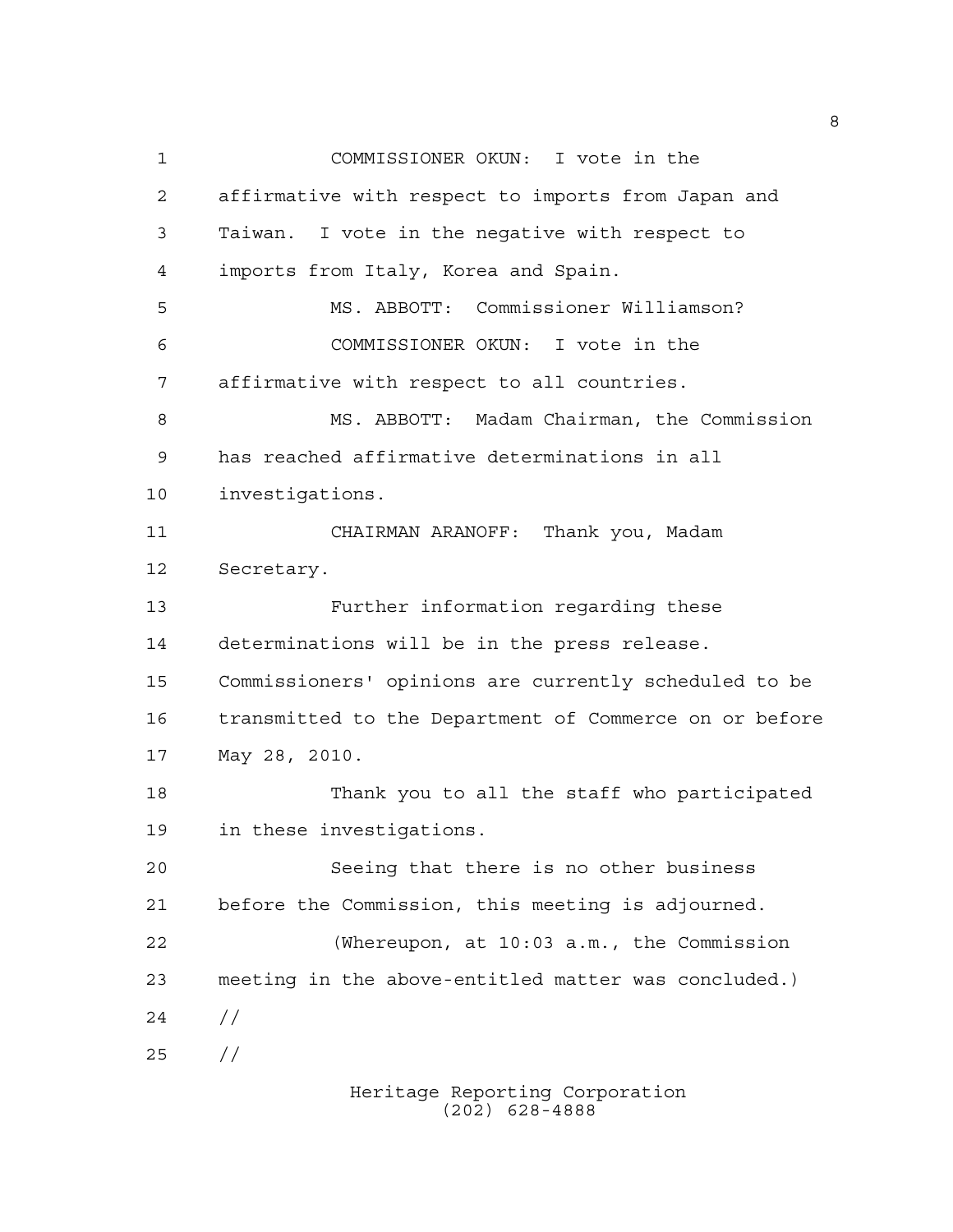COMMISSIONER OKUN: I vote in the affirmative with respect to imports from Japan and Taiwan. I vote in the negative with respect to imports from Italy, Korea and Spain. MS. ABBOTT: Commissioner Williamson? COMMISSIONER OKUN: I vote in the affirmative with respect to all countries. MS. ABBOTT: Madam Chairman, the Commission has reached affirmative determinations in all investigations. CHAIRMAN ARANOFF: Thank you, Madam Secretary. Further information regarding these determinations will be in the press release. Commissioners' opinions are currently scheduled to be transmitted to the Department of Commerce on or before May 28, 2010. Thank you to all the staff who participated in these investigations. Seeing that there is no other business before the Commission, this meeting is adjourned. (Whereupon, at 10:03 a.m., the Commission meeting in the above-entitled matter was concluded.)  $24 /$ //

> Heritage Reporting Corporation (202) 628-4888